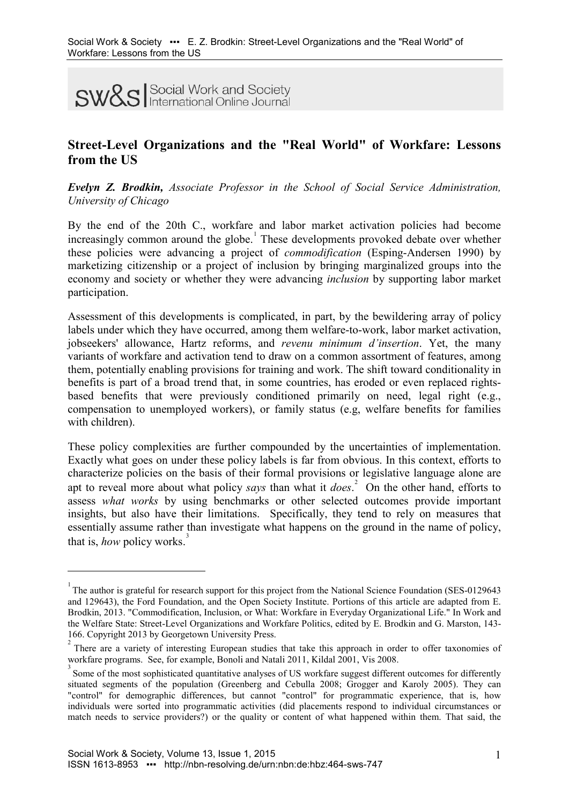**SW&S** Social Work and Society

# **Street-Level Organizations and the "Real World" of Workfare: Lessons from the US**

*Evelyn Z. Brodkin, Associate Professor in the School of Social Service Administration, University of Chicago*

By the end of the 20th C., workfare and labor market activation policies had become increasingly common around the globe.<sup>[1](#page-0-0)</sup> These developments provoked debate over whether these policies were advancing a project of *commodification* (Esping-Andersen 1990) by marketizing citizenship or a project of inclusion by bringing marginalized groups into the economy and society or whether they were advancing *inclusion* by supporting labor market participation.

Assessment of this developments is complicated, in part, by the bewildering array of policy labels under which they have occurred, among them welfare-to-work, labor market activation, jobseekers' allowance, Hartz reforms, and *revenu minimum d'insertion*. Yet, the many variants of workfare and activation tend to draw on a common assortment of features, among them, potentially enabling provisions for training and work. The shift toward conditionality in benefits is part of a broad trend that, in some countries, has eroded or even replaced rightsbased benefits that were previously conditioned primarily on need, legal right (e.g., compensation to unemployed workers), or family status (e.g, welfare benefits for families with children).

These policy complexities are further compounded by the uncertainties of implementation. Exactly what goes on under these policy labels is far from obvious. In this context, efforts to characterize policies on the basis of their formal provisions or legislative language alone are apt to reveal more about what policy *says* than what it *does*. [2](#page-0-1) On the other hand, efforts to assess *what works* by using benchmarks or other selected outcomes provide important insights, but also have their limitations. Specifically, they tend to rely on measures that essentially assume rather than investigate what happens on the ground in the name of policy, that is, *how* policy works.<sup>[3](#page-0-2)</sup>

<span id="page-0-0"></span><sup>&</sup>lt;sup>1</sup> The author is grateful for research support for this project from the National Science Foundation (SES-0129643 and 129643), the Ford Foundation, and the Open Society Institute. Portions of this article are adapted from E. Brodkin, 2013. "Commodification, Inclusion, or What: Workfare in Everyday Organizational Life." In Work and the Welfare State: Street-Level Organizations and Workfare Politics, edited by E. Brodkin and G. Marston, 143- 166. Copyright 2013 by Georgetown University Press.

<span id="page-0-1"></span><sup>&</sup>lt;sup>2</sup> There are a variety of interesting European studies that take this approach in order to offer taxonomies of workfare programs. See, for example, Bonoli and Natali 2011, Kildal 2001, Vis 2008.

<span id="page-0-2"></span><sup>&</sup>lt;sup>3</sup> Some of the most sophisticated quantitative analyses of US workfare suggest different outcomes for differently situated segments of the population (Greenberg and Cebulla 2008; Grogger and Karoly 2005). They can "control" for demographic differences, but cannot "control" for programmatic experience, that is, how individuals were sorted into programmatic activities (did placements respond to individual circumstances or match needs to service providers?) or the quality or content of what happened within them. That said, the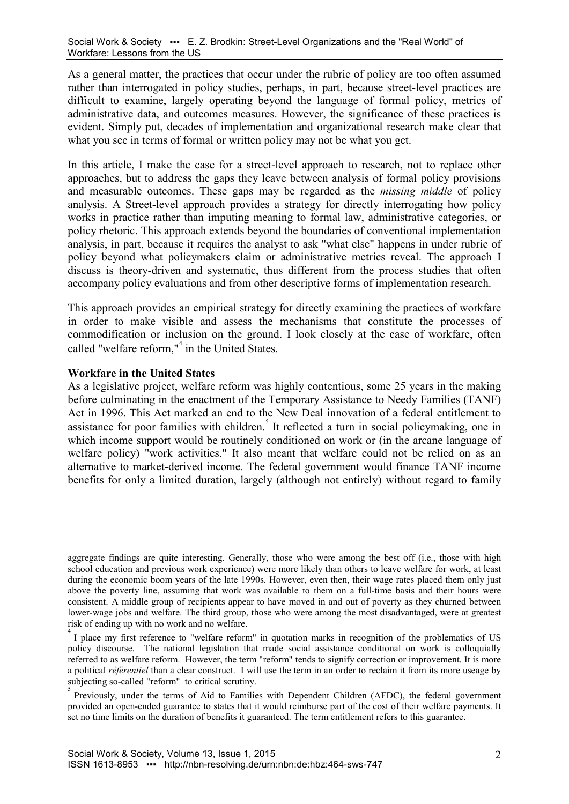As a general matter, the practices that occur under the rubric of policy are too often assumed rather than interrogated in policy studies, perhaps, in part, because street-level practices are difficult to examine, largely operating beyond the language of formal policy, metrics of administrative data, and outcomes measures. However, the significance of these practices is evident. Simply put, decades of implementation and organizational research make clear that what you see in terms of formal or written policy may not be what you get.

In this article, I make the case for a street-level approach to research, not to replace other approaches, but to address the gaps they leave between analysis of formal policy provisions and measurable outcomes. These gaps may be regarded as the *missing middle* of policy analysis. A Street-level approach provides a strategy for directly interrogating how policy works in practice rather than imputing meaning to formal law, administrative categories, or policy rhetoric. This approach extends beyond the boundaries of conventional implementation analysis, in part, because it requires the analyst to ask "what else" happens in under rubric of policy beyond what policymakers claim or administrative metrics reveal. The approach I discuss is theory-driven and systematic, thus different from the process studies that often accompany policy evaluations and from other descriptive forms of implementation research.

This approach provides an empirical strategy for directly examining the practices of workfare in order to make visible and assess the mechanisms that constitute the processes of commodification or inclusion on the ground. I look closely at the case of workfare, often called "welfare reform,"<sup>[4](#page-1-0)</sup> in the United States.

### **Workfare in the United States**

-

As a legislative project, welfare reform was highly contentious, some 25 years in the making before culminating in the enactment of the Temporary Assistance to Needy Families (TANF) Act in 1996. This Act marked an end to the New Deal innovation of a federal entitlement to assistance for poor families with children.<sup>[5](#page-1-1)</sup> It reflected a turn in social policymaking, one in which income support would be routinely conditioned on work or (in the arcane language of welfare policy) "work activities." It also meant that welfare could not be relied on as an alternative to market-derived income. The federal government would finance TANF income benefits for only a limited duration, largely (although not entirely) without regard to family

aggregate findings are quite interesting. Generally, those who were among the best off (i.e., those with high school education and previous work experience) were more likely than others to leave welfare for work, at least during the economic boom years of the late 1990s. However, even then, their wage rates placed them only just above the poverty line, assuming that work was available to them on a full-time basis and their hours were consistent. A middle group of recipients appear to have moved in and out of poverty as they churned between lower-wage jobs and welfare. The third group, those who were among the most disadvantaged, were at greatest risk of ending up with no work and no welfare.

<span id="page-1-0"></span><sup>&</sup>lt;sup>4</sup> I place my first reference to "welfare reform" in quotation marks in recognition of the problematics of US policy discourse. The national legislation that made social assistance conditional on work is colloquially referred to as welfare reform. However, the term "reform" tends to signify correction or improvement. It is more a political *référentiel* than a clear construct. I will use the term in an order to reclaim it from its more useage by subjecting so-called "reform" to critical scrutiny.

<span id="page-1-1"></span>Previously, under the terms of Aid to Families with Dependent Children (AFDC), the federal government provided an open-ended guarantee to states that it would reimburse part of the cost of their welfare payments. It set no time limits on the duration of benefits it guaranteed. The term entitlement refers to this guarantee.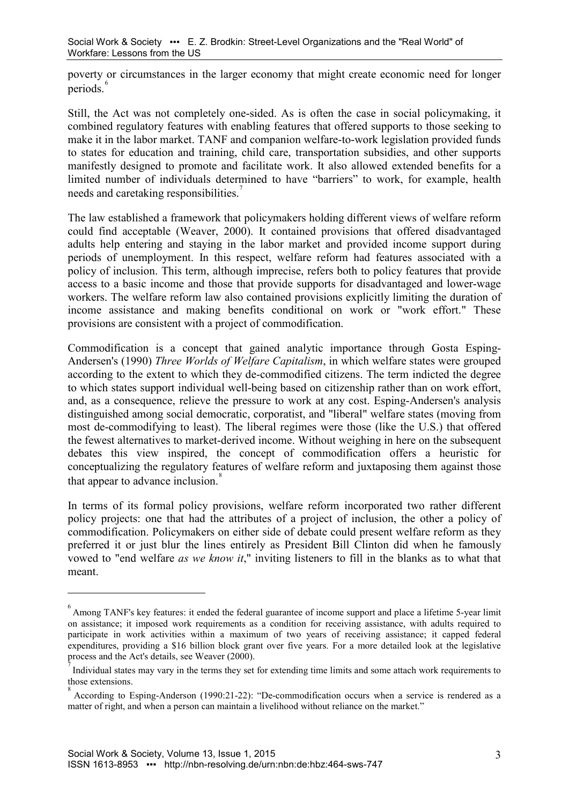poverty or circumstances in the larger economy that might create economic need for longer periods.<sup>[6](#page-2-0)</sup>

Still, the Act was not completely one-sided. As is often the case in social policymaking, it combined regulatory features with enabling features that offered supports to those seeking to make it in the labor market. TANF and companion welfare-to-work legislation provided funds to states for education and training, child care, transportation subsidies, and other supports manifestly designed to promote and facilitate work. It also allowed extended benefits for a limited number of individuals determined to have "barriers" to work, for example, health needs and caretaking responsibilities.

The law established a framework that policymakers holding different views of welfare reform could find acceptable [\(Weaver, 2000\)](#page-15-0). It contained provisions that offered disadvantaged adults help entering and staying in the labor market and provided income support during periods of unemployment. In this respect, welfare reform had features associated with a policy of inclusion. This term, although imprecise, refers both to policy features that provide access to a basic income and those that provide supports for disadvantaged and lower-wage workers. The welfare reform law also contained provisions explicitly limiting the duration of income assistance and making benefits conditional on work or "work effort." These provisions are consistent with a project of commodification.

Commodification is a concept that gained analytic importance through Gosta Esping-Andersen's [\(1990\)](#page-14-0) *Three Worlds of Welfare Capitalism*, in which welfare states were grouped according to the extent to which they de-commodified citizens. The term indicted the degree to which states support individual well-being based on citizenship rather than on work effort, and, as a consequence, relieve the pressure to work at any cost. Esping-Andersen's analysis distinguished among social democratic, corporatist, and "liberal" welfare states (moving from most de-commodifying to least). The liberal regimes were those (like the U.S.) that offered the fewest alternatives to market-derived income. Without weighing in here on the subsequent debates this view inspired, the concept of commodification offers a heuristic for conceptualizing the regulatory features of welfare reform and juxtaposing them against those that appear to advance inclusion.<sup>[8](#page-2-2)</sup>

In terms of its formal policy provisions, welfare reform incorporated two rather different policy projects: one that had the attributes of a project of inclusion, the other a policy of commodification. Policymakers on either side of debate could present welfare reform as they preferred it or just blur the lines entirely as President Bill Clinton did when he famously vowed to "end welfare *as we know it*," inviting listeners to fill in the blanks as to what that meant.

<span id="page-2-0"></span><sup>&</sup>lt;sup>6</sup> Among TANF's key features: it ended the federal guarantee of income support and place a lifetime 5-year limit on assistance; it imposed work requirements as a condition for receiving assistance, with adults required to participate in work activities within a maximum of two years of receiving assistance; it capped federal expenditures, providing a \$16 billion block grant over five years. For a more detailed look at the legislative process and the Act's details, see Weaver [\(2000\)](#page-15-0).

<span id="page-2-1"></span>Individual states may vary in the terms they set for extending time limits and some attach work requirements to those extensions.

<span id="page-2-2"></span><sup>8</sup> According to Esping-Anderson (1990:21-22): "De-commodification occurs when a service is rendered as a matter of right, and when a person can maintain a livelihood without reliance on the market."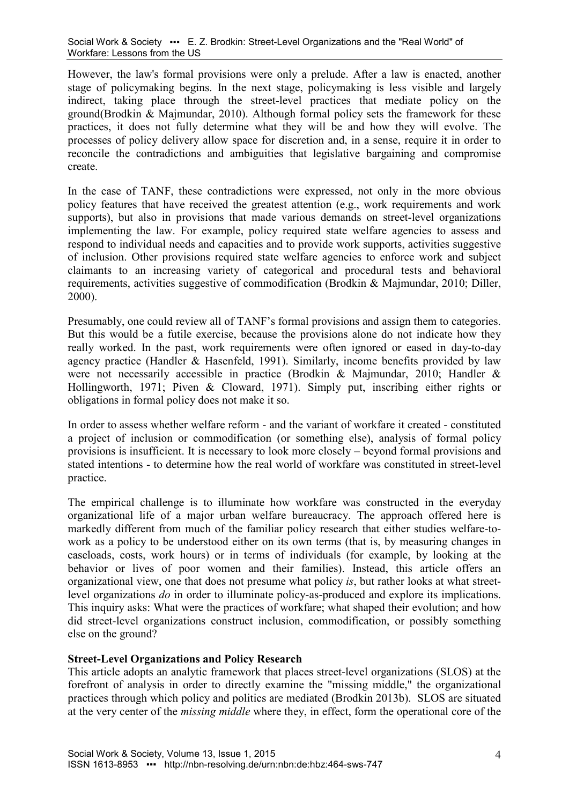However, the law's formal provisions were only a prelude. After a law is enacted, another stage of policymaking begins. In the next stage, policymaking is less visible and largely indirect, taking place through the street-level practices that mediate policy on the ground[\(Brodkin & Majmundar, 2010\)](#page-14-1). Although formal policy sets the framework for these practices, it does not fully determine what they will be and how they will evolve. The processes of policy delivery allow space for discretion and, in a sense, require it in order to reconcile the contradictions and ambiguities that legislative bargaining and compromise create.

In the case of TANF, these contradictions were expressed, not only in the more obvious policy features that have received the greatest attention (e.g., work requirements and work supports), but also in provisions that made various demands on street-level organizations implementing the law. For example, policy required state welfare agencies to assess and respond to individual needs and capacities and to provide work supports, activities suggestive of inclusion. Other provisions required state welfare agencies to enforce work and subject claimants to an increasing variety of categorical and procedural tests and behavioral requirements, activities suggestive of commodification [\(Brodkin & Majmundar, 2010;](#page-14-1) [Diller,](#page-14-2)  [2000\)](#page-14-2).

Presumably, one could review all of TANF's formal provisions and assign them to categories. But this would be a futile exercise, because the provisions alone do not indicate how they really worked. In the past, work requirements were often ignored or eased in day-to-day agency practice [\(Handler & Hasenfeld, 1991\)](#page-14-3). Similarly, income benefits provided by law were not necessarily accessible in practice [\(Brodkin & Majmundar, 2010;](#page-14-1) [Handler &](#page-14-4)  [Hollingworth, 1971;](#page-14-4) [Piven & Cloward, 1971\)](#page-15-1). Simply put, inscribing either rights or obligations in formal policy does not make it so.

In order to assess whether welfare reform - and the variant of workfare it created - constituted a project of inclusion or commodification (or something else), analysis of formal policy provisions is insufficient. It is necessary to look more closely – beyond formal provisions and stated intentions - to determine how the real world of workfare was constituted in street-level practice.

The empirical challenge is to illuminate how workfare was constructed in the everyday organizational life of a major urban welfare bureaucracy. The approach offered here is markedly different from much of the familiar policy research that either studies welfare-towork as a policy to be understood either on its own terms (that is, by measuring changes in caseloads, costs, work hours) or in terms of individuals (for example, by looking at the behavior or lives of poor women and their families). Instead, this article offers an organizational view, one that does not presume what policy *is*, but rather looks at what streetlevel organizations *do* in order to illuminate policy-as-produced and explore its implications. This inquiry asks: What were the practices of workfare; what shaped their evolution; and how did street-level organizations construct inclusion, commodification, or possibly something else on the ground?

### **Street-Level Organizations and Policy Research**

This article adopts an analytic framework that places street-level organizations (SLOS) at the forefront of analysis in order to directly examine the "missing middle," the organizational practices through which policy and politics are mediated (Brodkin 2013b). SLOS are situated at the very center of the *missing middle* where they, in effect, form the operational core of the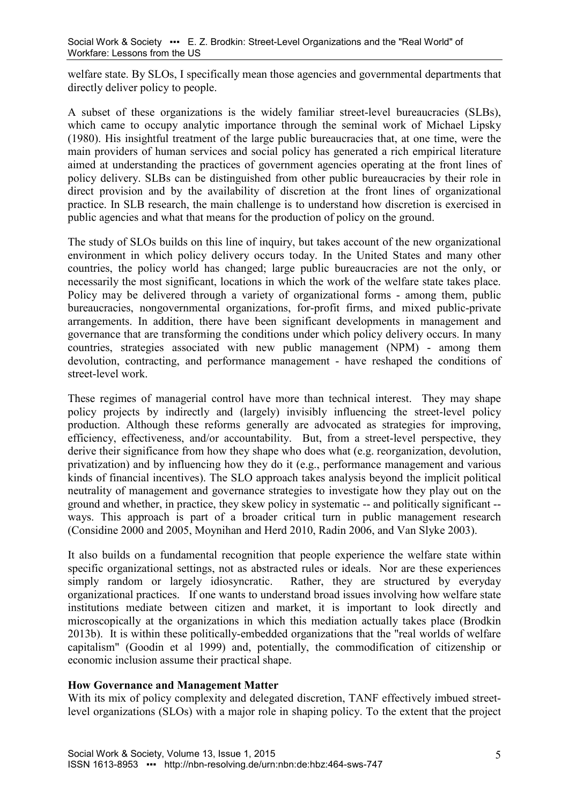welfare state. By SLOs, I specifically mean those agencies and governmental departments that directly deliver policy to people.

A subset of these organizations is the widely familiar street-level bureaucracies (SLBs), which came to occupy analytic importance through the seminal work of Michael Lipsky (1980). His insightful treatment of the large public bureaucracies that, at one time, were the main providers of human services and social policy has generated a rich empirical literature aimed at understanding the practices of government agencies operating at the front lines of policy delivery. SLBs can be distinguished from other public bureaucracies by their role in direct provision and by the availability of discretion at the front lines of organizational practice. In SLB research, the main challenge is to understand how discretion is exercised in public agencies and what that means for the production of policy on the ground.

The study of SLOs builds on this line of inquiry, but takes account of the new organizational environment in which policy delivery occurs today. In the United States and many other countries, the policy world has changed; large public bureaucracies are not the only, or necessarily the most significant, locations in which the work of the welfare state takes place. Policy may be delivered through a variety of organizational forms - among them, public bureaucracies, nongovernmental organizations, for-profit firms, and mixed public-private arrangements. In addition, there have been significant developments in management and governance that are transforming the conditions under which policy delivery occurs. In many countries, strategies associated with new public management (NPM) - among them devolution, contracting, and performance management - have reshaped the conditions of street-level work.

These regimes of managerial control have more than technical interest. They may shape policy projects by indirectly and (largely) invisibly influencing the street-level policy production. Although these reforms generally are advocated as strategies for improving, efficiency, effectiveness, and/or accountability. But, from a street-level perspective, they derive their significance from how they shape who does what (e.g. reorganization, devolution, privatization) and by influencing how they do it (e.g., performance management and various kinds of financial incentives). The SLO approach takes analysis beyond the implicit political neutrality of management and governance strategies to investigate how they play out on the ground and whether, in practice, they skew policy in systematic -- and politically significant - ways. This approach is part of a broader critical turn in public management research (Considine 2000 and 2005, Moynihan and Herd 2010, Radin 2006, and Van Slyke 2003).

It also builds on a fundamental recognition that people experience the welfare state within specific organizational settings, not as abstracted rules or ideals. Nor are these experiences simply random or largely idiosyncratic. Rather, they are structured by everyday Rather, they are structured by everyday organizational practices. If one wants to understand broad issues involving how welfare state institutions mediate between citizen and market, it is important to look directly and microscopically at the organizations in which this mediation actually takes place (Brodkin 2013b). It is within these politically-embedded organizations that the "real worlds of welfare capitalism" (Goodin et al 1999) and, potentially, the commodification of citizenship or economic inclusion assume their practical shape.

### **How Governance and Management Matter**

With its mix of policy complexity and delegated discretion, TANF effectively imbued streetlevel organizations (SLOs) with a major role in shaping policy. To the extent that the project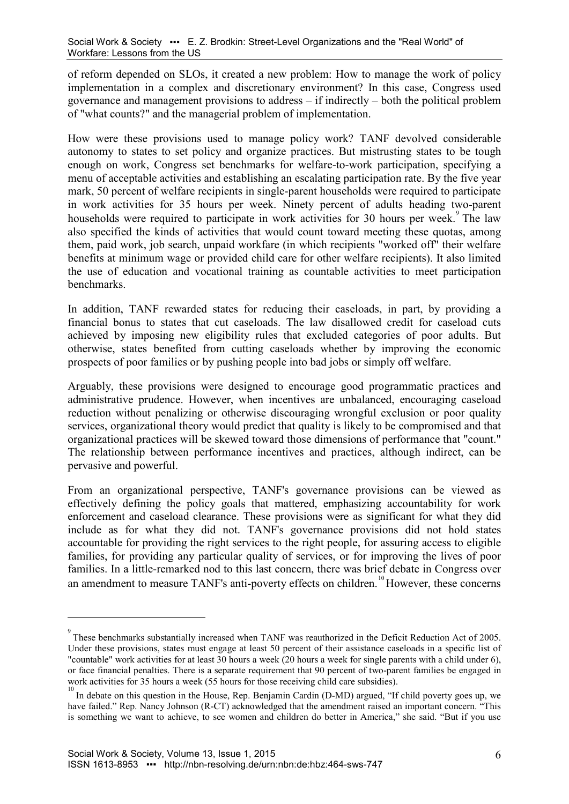of reform depended on SLOs, it created a new problem: How to manage the work of policy implementation in a complex and discretionary environment? In this case, Congress used governance and management provisions to address – if indirectly – both the political problem of "what counts?" and the managerial problem of implementation.

How were these provisions used to manage policy work? TANF devolved considerable autonomy to states to set policy and organize practices. But mistrusting states to be tough enough on work, Congress set benchmarks for welfare-to-work participation, specifying a menu of acceptable activities and establishing an escalating participation rate. By the five year mark, 50 percent of welfare recipients in single-parent households were required to participate in work activities for 35 hours per week. Ninety percent of adults heading two-parent households were required to participate in work activities for 30 hours per week.<sup>[9](#page-5-0)</sup> The law also specified the kinds of activities that would count toward meeting these quotas, among them, paid work, job search, unpaid workfare (in which recipients "worked off" their welfare benefits at minimum wage or provided child care for other welfare recipients). It also limited the use of education and vocational training as countable activities to meet participation benchmarks.

In addition, TANF rewarded states for reducing their caseloads, in part, by providing a financial bonus to states that cut caseloads. The law disallowed credit for caseload cuts achieved by imposing new eligibility rules that excluded categories of poor adults. But otherwise, states benefited from cutting caseloads whether by improving the economic prospects of poor families or by pushing people into bad jobs or simply off welfare.

Arguably, these provisions were designed to encourage good programmatic practices and administrative prudence. However, when incentives are unbalanced, encouraging caseload reduction without penalizing or otherwise discouraging wrongful exclusion or poor quality services, organizational theory would predict that quality is likely to be compromised and that organizational practices will be skewed toward those dimensions of performance that "count." The relationship between performance incentives and practices, although indirect, can be pervasive and powerful.

From an organizational perspective, TANF's governance provisions can be viewed as effectively defining the policy goals that mattered, emphasizing accountability for work enforcement and caseload clearance. These provisions were as significant for what they did include as for what they did not. TANF's governance provisions did not hold states accountable for providing the right services to the right people, for assuring access to eligible families, for providing any particular quality of services, or for improving the lives of poor families. In a little-remarked nod to this last concern, there was brief debate in Congress over an amendment to measure TANF's anti-poverty effects on children.<sup>[10](#page-5-1)</sup>However, these concerns

<span id="page-5-0"></span><sup>&</sup>lt;sup>9</sup> These benchmarks substantially increased when TANF was reauthorized in the Deficit Reduction Act of 2005. Under these provisions, states must engage at least 50 percent of their assistance caseloads in a specific list of "countable" work activities for at least 30 hours a week (20 hours a week for single parents with a child under 6), or face financial penalties. There is a separate requirement that 90 percent of two-parent families be engaged in work activities for 35 hours a week (55 hours for those receiving child care subsidies).

<span id="page-5-1"></span>In debate on this question in the House, Rep. Benjamin Cardin (D-MD) argued, "If child poverty goes up, we have failed." Rep. Nancy Johnson (R-CT) acknowledged that the amendment raised an important concern. "This is something we want to achieve, to see women and children do better in America," she said. "But if you use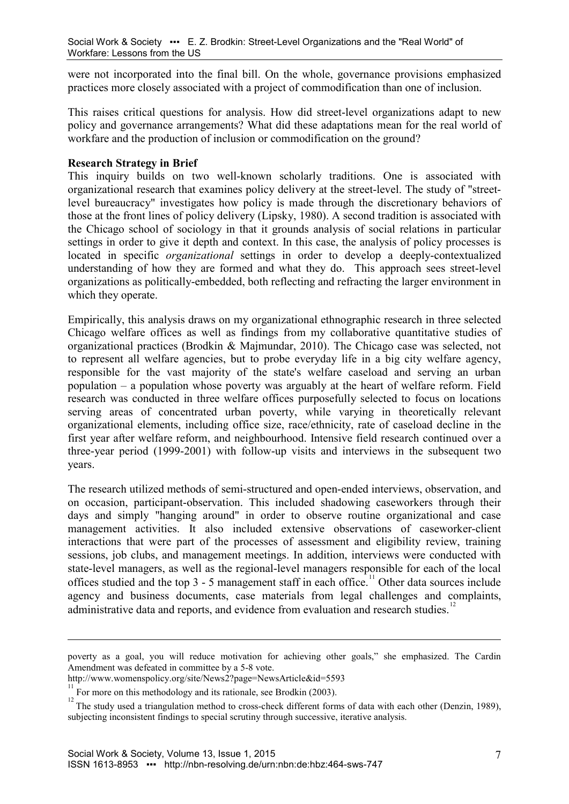were not incorporated into the final bill. On the whole, governance provisions emphasized practices more closely associated with a project of commodification than one of inclusion.

This raises critical questions for analysis. How did street-level organizations adapt to new policy and governance arrangements? What did these adaptations mean for the real world of workfare and the production of inclusion or commodification on the ground?

### **Research Strategy in Brief**

This inquiry builds on two well-known scholarly traditions. One is associated with organizational research that examines policy delivery at the street-level. The study of "streetlevel bureaucracy" investigates how policy is made through the discretionary behaviors of those at the front lines of policy delivery [\(Lipsky, 1980\)](#page-15-2). A second tradition is associated with the Chicago school of sociology in that it grounds analysis of social relations in particular settings in order to give it depth and context. In this case, the analysis of policy processes is located in specific *organizational* settings in order to develop a deeply-contextualized understanding of how they are formed and what they do. This approach sees street-level organizations as politically-embedded, both reflecting and refracting the larger environment in which they operate.

Empirically, this analysis draws on my organizational ethnographic research in three selected Chicago welfare offices as well as findings from my collaborative quantitative studies of organizational practices [\(Brodkin & Majmundar, 2010\)](#page-14-1). The Chicago case was selected, not to represent all welfare agencies, but to probe everyday life in a big city welfare agency, responsible for the vast majority of the state's welfare caseload and serving an urban population – a population whose poverty was arguably at the heart of welfare reform. Field research was conducted in three welfare offices purposefully selected to focus on locations serving areas of concentrated urban poverty, while varying in theoretically relevant organizational elements, including office size, race/ethnicity, rate of caseload decline in the first year after welfare reform, and neighbourhood. Intensive field research continued over a three-year period (1999-2001) with follow-up visits and interviews in the subsequent two years.

The research utilized methods of semi-structured and open-ended interviews, observation, and on occasion, participant-observation. This included shadowing caseworkers through their days and simply "hanging around" in order to observe routine organizational and case management activities. It also included extensive observations of caseworker-client interactions that were part of the processes of assessment and eligibility review, training sessions, job clubs, and management meetings. In addition, interviews were conducted with state-level managers, as well as the regional-level managers responsible for each of the local offices studied and the top  $3 - 5$  management staff in each office.<sup>[11](#page-6-0)</sup> Other data sources include agency and business documents, case materials from legal challenges and complaints, administrative data and reports, and evidence from evaluation and research studies.<sup>[12](#page-6-1)</sup>

poverty as a goal, you will reduce motivation for achieving other goals," she emphasized. The Cardin Amendment was defeated in committee by a 5-8 vote.

http://www.womenspolicy.org/site/News2?page=NewsArticle&id=5593

<span id="page-6-0"></span><sup>&</sup>lt;sup>11</sup> For more on this methodology and its rationale, see Brodkin [\(2003\)](#page-14-5).

<span id="page-6-1"></span>The study used a triangulation method to cross-check different forms of data with each other [\(Denzin, 1989\)](#page-14-6), subjecting inconsistent findings to special scrutiny through successive, iterative analysis.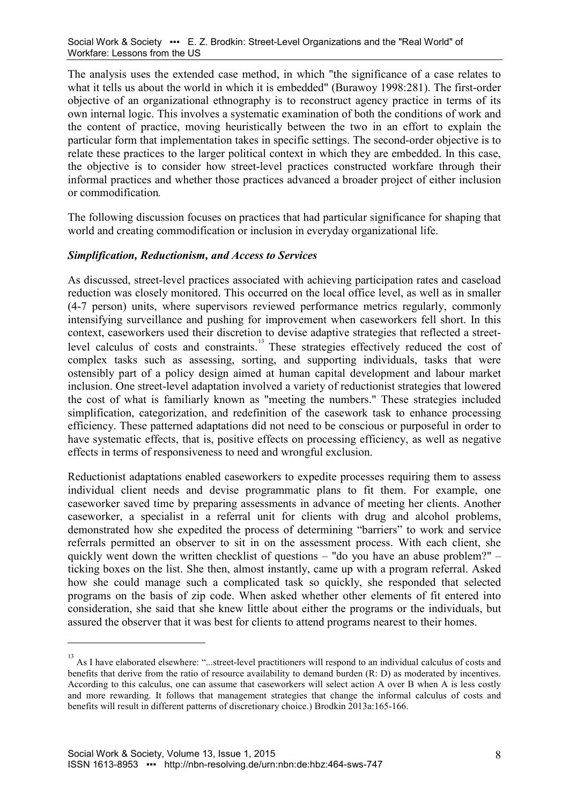The analysis uses the extended case method, in which "the significance of a case relates to what it tells us about the world in which it is embedded" (Burawoy 1998:281). The first-order objective of an organizational ethnography is to reconstruct agency practice in terms of its own internal logic. This involves a systematic examination of both the conditions of work and the content of practice, moving heuristically between the two in an effort to explain the particular form that implementation takes in specific settings. The second-order objective is to relate these practices to the larger political context in which they are embedded. In this case, the objective is to consider how street-level practices constructed workfare through their informal practices and whether those practices advanced a broader project of either inclusion or commodification*.*

The following discussion focuses on practices that had particular significance for shaping that world and creating commodification or inclusion in everyday organizational life.

### *Simplification, Reductionism, and Access to Services*

As discussed, street-level practices associated with achieving participation rates and caseload reduction was closely monitored. This occurred on the local office level, as well as in smaller (4-7 person) units, where supervisors reviewed performance metrics regularly, commonly intensifying surveillance and pushing for improvement when caseworkers fell short. In this context, caseworkers used their discretion to devise adaptive strategies that reflected a street-level calculus of costs and constraints.<sup>[13](#page-7-0)</sup> These strategies effectively reduced the cost of complex tasks such as assessing, sorting, and supporting individuals, tasks that were ostensibly part of a policy design aimed at human capital development and labour market inclusion. One street-level adaptation involved a variety of reductionist strategies that lowered the cost of what is familiarly known as "meeting the numbers." These strategies included simplification, categorization, and redefinition of the casework task to enhance processing efficiency. These patterned adaptations did not need to be conscious or purposeful in order to have systematic effects, that is, positive effects on processing efficiency, as well as negative effects in terms of responsiveness to need and wrongful exclusion.

Reductionist adaptations enabled caseworkers to expedite processes requiring them to assess individual client needs and devise programmatic plans to fit them. For example, one caseworker saved time by preparing assessments in advance of meeting her clients. Another caseworker, a specialist in a referral unit for clients with drug and alcohol problems, demonstrated how she expedited the process of determining "barriers" to work and service referrals permitted an observer to sit in on the assessment process. With each client, she quickly went down the written checklist of questions – "do you have an abuse problem?" – ticking boxes on the list. She then, almost instantly, came up with a program referral. Asked how she could manage such a complicated task so quickly, she responded that selected programs on the basis of zip code. When asked whether other elements of fit entered into consideration, she said that she knew little about either the programs or the individuals, but assured the observer that it was best for clients to attend programs nearest to their homes.

<span id="page-7-0"></span><sup>&</sup>lt;sup>13</sup> As I have elaborated elsewhere: "...street-level practitioners will respond to an individual calculus of costs and benefits that derive from the ratio of resource availability to demand burden (R: D) as moderated by incentives. According to this calculus, one can assume that caseworkers will select action A over B when A is less costly and more rewarding. It follows that management strategies that change the informal calculus of costs and benefits will result in different patterns of discretionary choice.) Brodkin 2013a:165-166.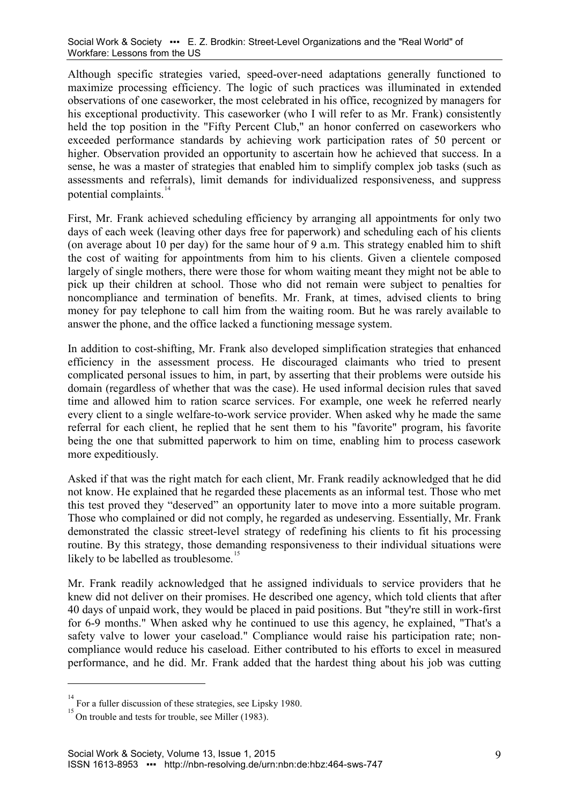Although specific strategies varied, speed-over-need adaptations generally functioned to maximize processing efficiency. The logic of such practices was illuminated in extended observations of one caseworker, the most celebrated in his office, recognized by managers for his exceptional productivity. This caseworker (who I will refer to as Mr. Frank) consistently held the top position in the "Fifty Percent Club," an honor conferred on caseworkers who exceeded performance standards by achieving work participation rates of 50 percent or higher. Observation provided an opportunity to ascertain how he achieved that success. In a sense, he was a master of strategies that enabled him to simplify complex job tasks (such as assessments and referrals), limit demands for individualized responsiveness, and suppress potential complaints $14$ 

First, Mr. Frank achieved scheduling efficiency by arranging all appointments for only two days of each week (leaving other days free for paperwork) and scheduling each of his clients (on average about 10 per day) for the same hour of 9 a.m. This strategy enabled him to shift the cost of waiting for appointments from him to his clients. Given a clientele composed largely of single mothers, there were those for whom waiting meant they might not be able to pick up their children at school. Those who did not remain were subject to penalties for noncompliance and termination of benefits. Mr. Frank, at times, advised clients to bring money for pay telephone to call him from the waiting room. But he was rarely available to answer the phone, and the office lacked a functioning message system.

In addition to cost-shifting, Mr. Frank also developed simplification strategies that enhanced efficiency in the assessment process. He discouraged claimants who tried to present complicated personal issues to him, in part, by asserting that their problems were outside his domain (regardless of whether that was the case). He used informal decision rules that saved time and allowed him to ration scarce services. For example, one week he referred nearly every client to a single welfare-to-work service provider. When asked why he made the same referral for each client, he replied that he sent them to his "favorite" program, his favorite being the one that submitted paperwork to him on time, enabling him to process casework more expeditiously.

Asked if that was the right match for each client, Mr. Frank readily acknowledged that he did not know. He explained that he regarded these placements as an informal test. Those who met this test proved they "deserved" an opportunity later to move into a more suitable program. Those who complained or did not comply, he regarded as undeserving. Essentially, Mr. Frank demonstrated the classic street-level strategy of redefining his clients to fit his processing routine. By this strategy, those demanding responsiveness to their individual situations were likely to be labelled as troublesome.<sup>[15](#page-8-1)</sup>

Mr. Frank readily acknowledged that he assigned individuals to service providers that he knew did not deliver on their promises. He described one agency, which told clients that after 40 days of unpaid work, they would be placed in paid positions. But "they're still in work-first for 6-9 months." When asked why he continued to use this agency, he explained, "That's a safety valve to lower your caseload." Compliance would raise his participation rate; noncompliance would reduce his caseload. Either contributed to his efforts to excel in measured performance, and he did. Mr. Frank added that the hardest thing about his job was cutting

<span id="page-8-0"></span><sup>&</sup>lt;sup>14</sup><br>For a fuller discussion of these strategies, see Lipsky 1980.

<span id="page-8-1"></span> $\frac{15}{15}$  On trouble and tests for trouble, see Miller [\(1983\)](#page-15-3).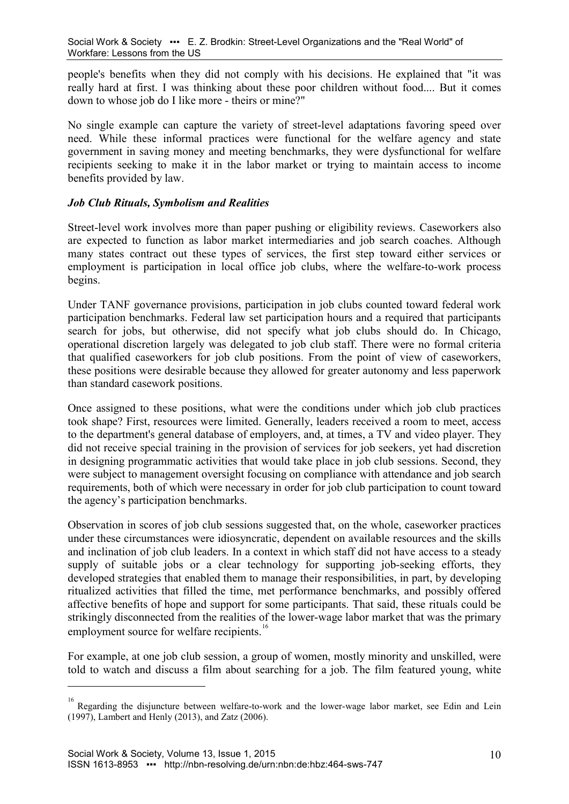people's benefits when they did not comply with his decisions. He explained that "it was really hard at first. I was thinking about these poor children without food.... But it comes down to whose job do I like more - theirs or mine?"

No single example can capture the variety of street-level adaptations favoring speed over need. While these informal practices were functional for the welfare agency and state government in saving money and meeting benchmarks, they were dysfunctional for welfare recipients seeking to make it in the labor market or trying to maintain access to income benefits provided by law.

### *Job Club Rituals, Symbolism and Realities*

Street-level work involves more than paper pushing or eligibility reviews. Caseworkers also are expected to function as labor market intermediaries and job search coaches. Although many states contract out these types of services, the first step toward either services or employment is participation in local office job clubs, where the welfare-to-work process begins.

Under TANF governance provisions, participation in job clubs counted toward federal work participation benchmarks. Federal law set participation hours and a required that participants search for jobs, but otherwise, did not specify what job clubs should do. In Chicago, operational discretion largely was delegated to job club staff. There were no formal criteria that qualified caseworkers for job club positions. From the point of view of caseworkers, these positions were desirable because they allowed for greater autonomy and less paperwork than standard casework positions.

Once assigned to these positions, what were the conditions under which job club practices took shape? First, resources were limited. Generally, leaders received a room to meet, access to the department's general database of employers, and, at times, a TV and video player. They did not receive special training in the provision of services for job seekers, yet had discretion in designing programmatic activities that would take place in job club sessions. Second, they were subject to management oversight focusing on compliance with attendance and job search requirements, both of which were necessary in order for job club participation to count toward the agency's participation benchmarks.

Observation in scores of job club sessions suggested that, on the whole, caseworker practices under these circumstances were idiosyncratic, dependent on available resources and the skills and inclination of job club leaders. In a context in which staff did not have access to a steady supply of suitable jobs or a clear technology for supporting job-seeking efforts, they developed strategies that enabled them to manage their responsibilities, in part, by developing ritualized activities that filled the time, met performance benchmarks, and possibly offered affective benefits of hope and support for some participants. That said, these rituals could be strikingly disconnected from the realities of the lower-wage labor market that was the primary employment source for welfare recipients.<sup>1</sup>

For example, at one job club session, a group of women, mostly minority and unskilled, were told to watch and discuss a film about searching for a job. The film featured young, white

<span id="page-9-0"></span><sup>&</sup>lt;sup>16</sup> Regarding the disjuncture between welfare-to-work and the lower-wage labor market, see Edin and Lein [\(1997\)](#page-14-7), Lambert and Henly (2013), and Zatz [\(2006\)](#page-15-4).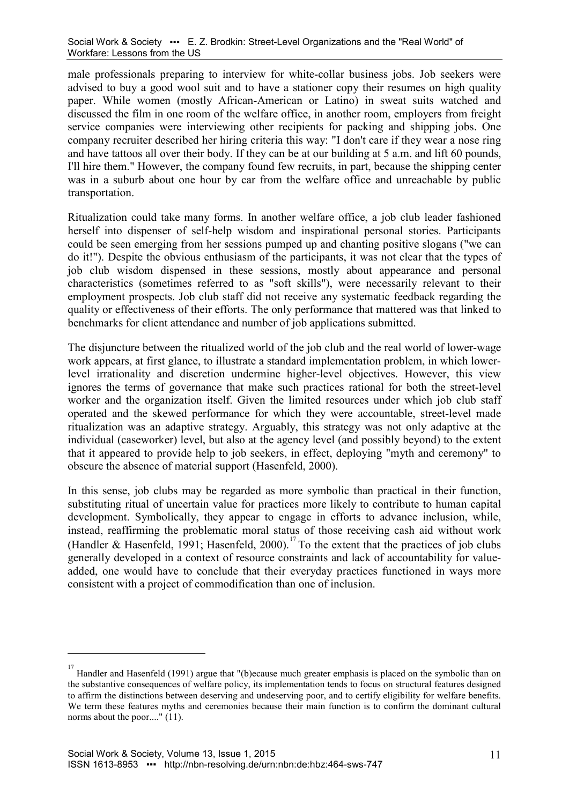male professionals preparing to interview for white-collar business jobs. Job seekers were advised to buy a good wool suit and to have a stationer copy their resumes on high quality paper. While women (mostly African-American or Latino) in sweat suits watched and discussed the film in one room of the welfare office, in another room, employers from freight service companies were interviewing other recipients for packing and shipping jobs. One company recruiter described her hiring criteria this way: "I don't care if they wear a nose ring and have tattoos all over their body. If they can be at our building at 5 a.m. and lift 60 pounds, I'll hire them." However, the company found few recruits, in part, because the shipping center was in a suburb about one hour by car from the welfare office and unreachable by public transportation.

Ritualization could take many forms. In another welfare office, a job club leader fashioned herself into dispenser of self-help wisdom and inspirational personal stories. Participants could be seen emerging from her sessions pumped up and chanting positive slogans ("we can do it!"). Despite the obvious enthusiasm of the participants, it was not clear that the types of job club wisdom dispensed in these sessions, mostly about appearance and personal characteristics (sometimes referred to as "soft skills"), were necessarily relevant to their employment prospects. Job club staff did not receive any systematic feedback regarding the quality or effectiveness of their efforts. The only performance that mattered was that linked to benchmarks for client attendance and number of job applications submitted.

The disjuncture between the ritualized world of the job club and the real world of lower-wage work appears, at first glance, to illustrate a standard implementation problem, in which lowerlevel irrationality and discretion undermine higher-level objectives. However, this view ignores the terms of governance that make such practices rational for both the street-level worker and the organization itself. Given the limited resources under which job club staff operated and the skewed performance for which they were accountable, street-level made ritualization was an adaptive strategy. Arguably, this strategy was not only adaptive at the individual (caseworker) level, but also at the agency level (and possibly beyond) to the extent that it appeared to provide help to job seekers, in effect, deploying "myth and ceremony" to obscure the absence of material support [\(Hasenfeld, 2000\)](#page-14-8).

In this sense, job clubs may be regarded as more symbolic than practical in their function, substituting ritual of uncertain value for practices more likely to contribute to human capital development. Symbolically, they appear to engage in efforts to advance inclusion, while, instead, reaffirming the problematic moral status of those receiving cash aid without work [\(Handler & Hasenfeld, 1991;](#page-14-3) [Hasenfeld, 2000\)](#page-14-8).<sup>[17](#page-10-0)</sup> To the extent that the practices of job clubs generally developed in a context of resource constraints and lack of accountability for valueadded, one would have to conclude that their everyday practices functioned in ways more consistent with a project of commodification than one of inclusion.

<span id="page-10-0"></span><sup>&</sup>lt;sup>17</sup> Handler and Hasenfeld [\(1991\)](#page-14-3) argue that "(b)ecause much greater emphasis is placed on the symbolic than on the substantive consequences of welfare policy, its implementation tends to focus on structural features designed to affirm the distinctions between deserving and undeserving poor, and to certify eligibility for welfare benefits. We term these features myths and ceremonies because their main function is to confirm the dominant cultural norms about the poor...." (11).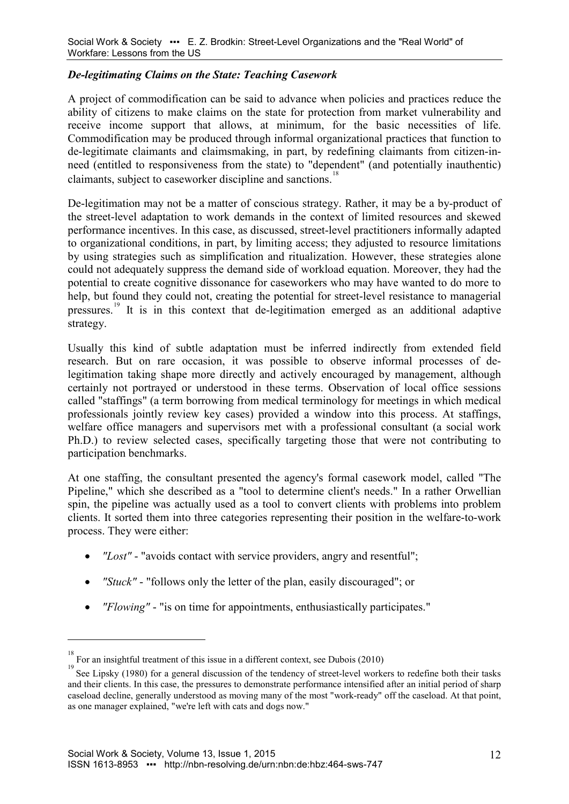### *De-legitimating Claims on the State: Teaching Casework*

A project of commodification can be said to advance when policies and practices reduce the ability of citizens to make claims on the state for protection from market vulnerability and receive income support that allows, at minimum, for the basic necessities of life. Commodification may be produced through informal organizational practices that function to de-legitimate claimants and claimsmaking, in part, by redefining claimants from citizen-inneed (entitled to responsiveness from the state) to "dependent" (and potentially inauthentic) claimants, subject to caseworker discipline and sanctions.<sup>[18](#page-11-0)</sup>

De-legitimation may not be a matter of conscious strategy. Rather, it may be a by-product of the street-level adaptation to work demands in the context of limited resources and skewed performance incentives. In this case, as discussed, street-level practitioners informally adapted to organizational conditions, in part, by limiting access; they adjusted to resource limitations by using strategies such as simplification and ritualization. However, these strategies alone could not adequately suppress the demand side of workload equation. Moreover, they had the potential to create cognitive dissonance for caseworkers who may have wanted to do more to help, but found they could not, creating the potential for street-level resistance to managerial pressures.[19](#page-11-1) It is in this context that de-legitimation emerged as an additional adaptive strategy.

Usually this kind of subtle adaptation must be inferred indirectly from extended field research. But on rare occasion, it was possible to observe informal processes of delegitimation taking shape more directly and actively encouraged by management, although certainly not portrayed or understood in these terms. Observation of local office sessions called "staffings" (a term borrowing from medical terminology for meetings in which medical professionals jointly review key cases) provided a window into this process. At staffings, welfare office managers and supervisors met with a professional consultant (a social work Ph.D.) to review selected cases, specifically targeting those that were not contributing to participation benchmarks.

At one staffing, the consultant presented the agency's formal casework model, called "The Pipeline," which she described as a "tool to determine client's needs." In a rather Orwellian spin, the pipeline was actually used as a tool to convert clients with problems into problem clients. It sorted them into three categories representing their position in the welfare-to-work process. They were either:

- *"Lost"* "avoids contact with service providers, angry and resentful";
- *"Stuck"* "follows only the letter of the plan, easily discouraged"; or
- *"Flowing"* "is on time for appointments, enthusiastically participates."

<sup>&</sup>lt;sup>18</sup> For an insightful treatment of this issue in a different context, see Dubois [\(2010\)](#page-14-9)

<span id="page-11-1"></span><span id="page-11-0"></span><sup>&</sup>lt;sup>19</sup> See Lipsky [\(1980\)](#page-15-2) for a general discussion of the tendency of street-level workers to redefine both their tasks and their clients. In this case, the pressures to demonstrate performance intensified after an initial period of sharp caseload decline, generally understood as moving many of the most "work-ready" off the caseload. At that point, as one manager explained, "we're left with cats and dogs now."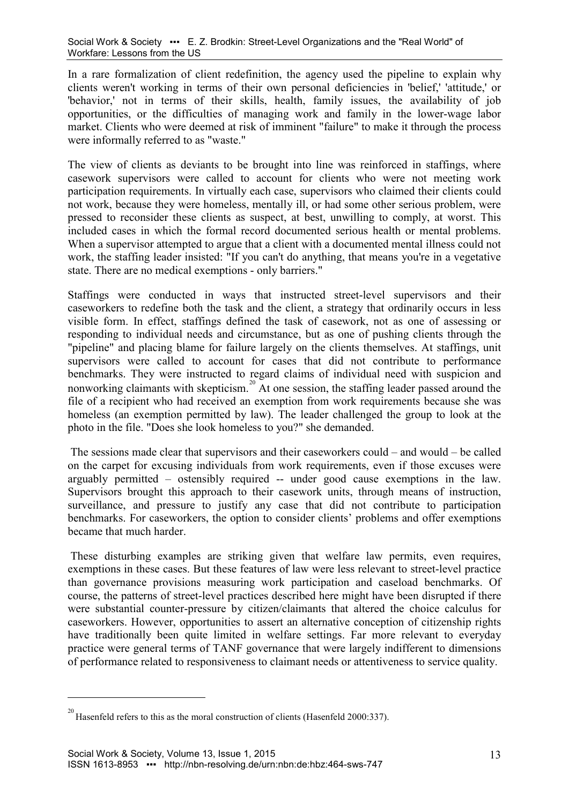In a rare formalization of client redefinition, the agency used the pipeline to explain why clients weren't working in terms of their own personal deficiencies in 'belief,' 'attitude,' or 'behavior,' not in terms of their skills, health, family issues, the availability of job opportunities, or the difficulties of managing work and family in the lower-wage labor market. Clients who were deemed at risk of imminent "failure" to make it through the process were informally referred to as "waste."

The view of clients as deviants to be brought into line was reinforced in staffings, where casework supervisors were called to account for clients who were not meeting work participation requirements. In virtually each case, supervisors who claimed their clients could not work, because they were homeless, mentally ill, or had some other serious problem, were pressed to reconsider these clients as suspect, at best, unwilling to comply, at worst. This included cases in which the formal record documented serious health or mental problems. When a supervisor attempted to argue that a client with a documented mental illness could not work, the staffing leader insisted: "If you can't do anything, that means you're in a vegetative state. There are no medical exemptions - only barriers."

Staffings were conducted in ways that instructed street-level supervisors and their caseworkers to redefine both the task and the client, a strategy that ordinarily occurs in less visible form. In effect, staffings defined the task of casework, not as one of assessing or responding to individual needs and circumstance, but as one of pushing clients through the "pipeline" and placing blame for failure largely on the clients themselves. At staffings, unit supervisors were called to account for cases that did not contribute to performance benchmarks. They were instructed to regard claims of individual need with suspicion and nonworking claimants with skepticism.<sup>[20](#page-12-0)</sup> At one session, the staffing leader passed around the file of a recipient who had received an exemption from work requirements because she was homeless (an exemption permitted by law). The leader challenged the group to look at the photo in the file. "Does she look homeless to you?" she demanded.

The sessions made clear that supervisors and their caseworkers could – and would – be called on the carpet for excusing individuals from work requirements, even if those excuses were arguably permitted – ostensibly required -- under good cause exemptions in the law. Supervisors brought this approach to their casework units, through means of instruction, surveillance, and pressure to justify any case that did not contribute to participation benchmarks. For caseworkers, the option to consider clients' problems and offer exemptions became that much harder.

These disturbing examples are striking given that welfare law permits, even requires, exemptions in these cases. But these features of law were less relevant to street-level practice than governance provisions measuring work participation and caseload benchmarks. Of course, the patterns of street-level practices described here might have been disrupted if there were substantial counter-pressure by citizen/claimants that altered the choice calculus for caseworkers. However, opportunities to assert an alternative conception of citizenship rights have traditionally been quite limited in welfare settings. Far more relevant to everyday practice were general terms of TANF governance that were largely indifferent to dimensions of performance related to responsiveness to claimant needs or attentiveness to service quality.

<span id="page-12-0"></span> $^{20}$  Hasenfeld refers to this as the moral construction of clients (Hasenfeld 2000:337).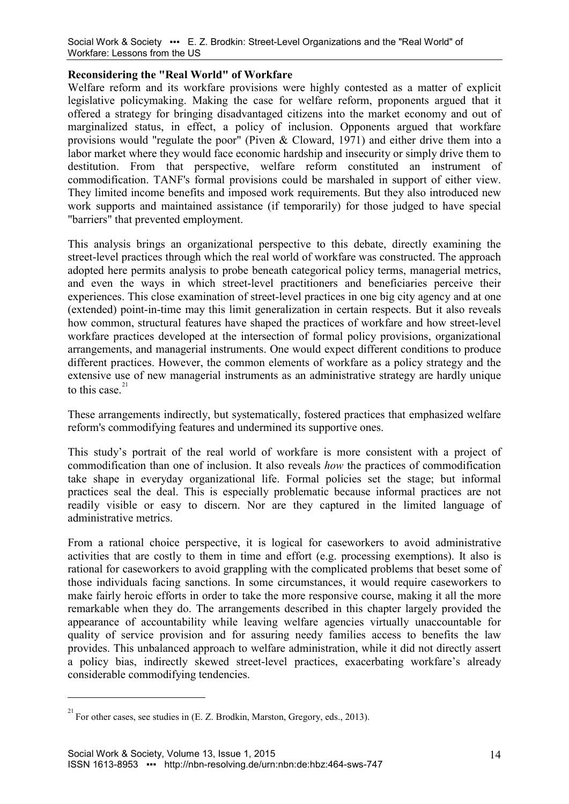## **Reconsidering the "Real World" of Workfare**

Welfare reform and its workfare provisions were highly contested as a matter of explicit legislative policymaking. Making the case for welfare reform, proponents argued that it offered a strategy for bringing disadvantaged citizens into the market economy and out of marginalized status, in effect, a policy of inclusion. Opponents argued that workfare provisions would "regulate the poor" [\(Piven & Cloward, 1971\)](#page-15-1) and either drive them into a labor market where they would face economic hardship and insecurity or simply drive them to destitution. From that perspective, welfare reform constituted an instrument of commodification. TANF's formal provisions could be marshaled in support of either view. They limited income benefits and imposed work requirements. But they also introduced new work supports and maintained assistance (if temporarily) for those judged to have special "barriers" that prevented employment.

This analysis brings an organizational perspective to this debate, directly examining the street-level practices through which the real world of workfare was constructed. The approach adopted here permits analysis to probe beneath categorical policy terms, managerial metrics, and even the ways in which street-level practitioners and beneficiaries perceive their experiences. This close examination of street-level practices in one big city agency and at one (extended) point-in-time may this limit generalization in certain respects. But it also reveals how common, structural features have shaped the practices of workfare and how street-level workfare practices developed at the intersection of formal policy provisions, organizational arrangements, and managerial instruments. One would expect different conditions to produce different practices. However, the common elements of workfare as a policy strategy and the extensive use of new managerial instruments as an administrative strategy are hardly unique to this case. $21$ 

These arrangements indirectly, but systematically, fostered practices that emphasized welfare reform's commodifying features and undermined its supportive ones.

This study's portrait of the real world of workfare is more consistent with a project of commodification than one of inclusion. It also reveals *how* the practices of commodification take shape in everyday organizational life. Formal policies set the stage; but informal practices seal the deal. This is especially problematic because informal practices are not readily visible or easy to discern. Nor are they captured in the limited language of administrative metrics.

From a rational choice perspective, it is logical for caseworkers to avoid administrative activities that are costly to them in time and effort (e.g. processing exemptions). It also is rational for caseworkers to avoid grappling with the complicated problems that beset some of those individuals facing sanctions. In some circumstances, it would require caseworkers to make fairly heroic efforts in order to take the more responsive course, making it all the more remarkable when they do. The arrangements described in this chapter largely provided the appearance of accountability while leaving welfare agencies virtually unaccountable for quality of service provision and for assuring needy families access to benefits the law provides. This unbalanced approach to welfare administration, while it did not directly assert a policy bias, indirectly skewed street-level practices, exacerbating workfare's already considerable commodifying tendencies.

<span id="page-13-0"></span> $^{21}$  For other cases, see studies in [\(E. Z. Brodkin, Marston, Gregory, eds., 2013\)](#page-14-10).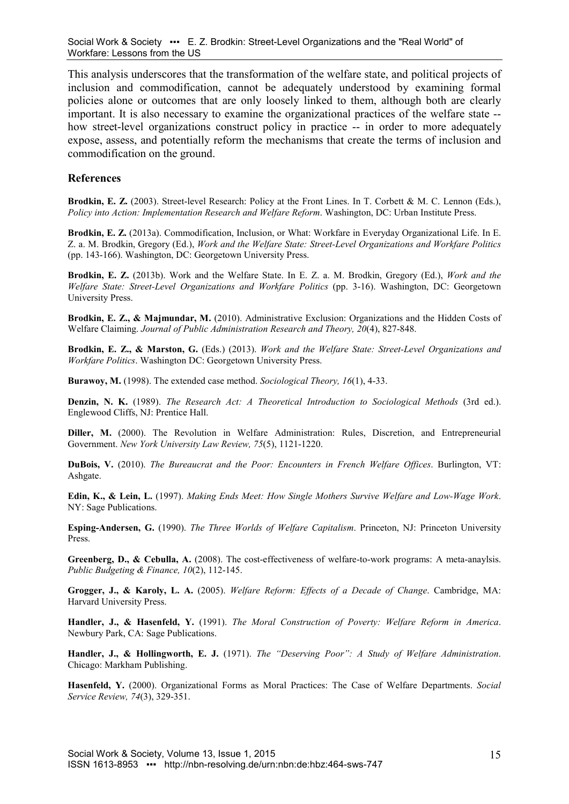This analysis underscores that the transformation of the welfare state, and political projects of inclusion and commodification, cannot be adequately understood by examining formal policies alone or outcomes that are only loosely linked to them, although both are clearly important. It is also necessary to examine the organizational practices of the welfare state - how street-level organizations construct policy in practice -- in order to more adequately expose, assess, and potentially reform the mechanisms that create the terms of inclusion and commodification on the ground.

#### **References**

<span id="page-14-5"></span>**Brodkin, E. Z.** (2003). Street-level Research: Policy at the Front Lines. In T. Corbett & M. C. Lennon (Eds.), *Policy into Action: Implementation Research and Welfare Reform*. Washington, DC: Urban Institute Press.

**Brodkin, E. Z.** (2013a). Commodification, Inclusion, or What: Workfare in Everyday Organizational Life. In E. Z. a. M. Brodkin, Gregory (Ed.), *Work and the Welfare State: Street-Level Organizations and Workfare Politics* (pp. 143-166). Washington, DC: Georgetown University Press.

**Brodkin, E. Z.** (2013b). Work and the Welfare State. In E. Z. a. M. Brodkin, Gregory (Ed.), *Work and the Welfare State: Street-Level Organizations and Workfare Politics* (pp. 3-16). Washington, DC: Georgetown University Press.

<span id="page-14-1"></span>**Brodkin, E. Z., & Majmundar, M.** (2010). Administrative Exclusion: Organizations and the Hidden Costs of Welfare Claiming. *Journal of Public Administration Research and Theory, 20*(4), 827-848.

<span id="page-14-10"></span>**Brodkin, E. Z., & Marston, G.** (Eds.) (2013). *Work and the Welfare State: Street-Level Organizations and Workfare Politics*. Washington DC: Georgetown University Press.

**Burawoy, M.** (1998). The extended case method. *Sociological Theory, 16*(1), 4-33.

<span id="page-14-6"></span>**Denzin, N. K.** (1989). *The Research Act: A Theoretical Introduction to Sociological Methods* (3rd ed.). Englewood Cliffs, NJ: Prentice Hall.

<span id="page-14-2"></span>Diller, M. (2000). The Revolution in Welfare Administration: Rules, Discretion, and Entrepreneurial Government. *New York University Law Review, 75*(5), 1121-1220.

<span id="page-14-9"></span>**DuBois, V.** (2010). *The Bureaucrat and the Poor: Encounters in French Welfare Offices*. Burlington, VT: Ashgate.

<span id="page-14-7"></span>**Edin, K., & Lein, L.** (1997). *Making Ends Meet: How Single Mothers Survive Welfare and Low-Wage Work*. NY: Sage Publications.

<span id="page-14-0"></span>**Esping-Andersen, G.** (1990). *The Three Worlds of Welfare Capitalism*. Princeton, NJ: Princeton University Press.

**Greenberg, D., & Cebulla, A.** (2008). The cost-effectiveness of welfare-to-work programs: A meta-anaylsis. *Public Budgeting & Finance, 10*(2), 112-145.

**Grogger, J., & Karoly, L. A.** (2005). *Welfare Reform: Effects of a Decade of Change*. Cambridge, MA: Harvard University Press.

<span id="page-14-3"></span>**Handler, J., & Hasenfeld, Y.** (1991). *The Moral Construction of Poverty: Welfare Reform in America*. Newbury Park, CA: Sage Publications.

<span id="page-14-4"></span>**Handler, J., & Hollingworth, E. J.** (1971). *The "Deserving Poor": A Study of Welfare Administration*. Chicago: Markham Publishing.

<span id="page-14-8"></span>**Hasenfeld, Y.** (2000). Organizational Forms as Moral Practices: The Case of Welfare Departments. *Social Service Review, 74*(3), 329-351.